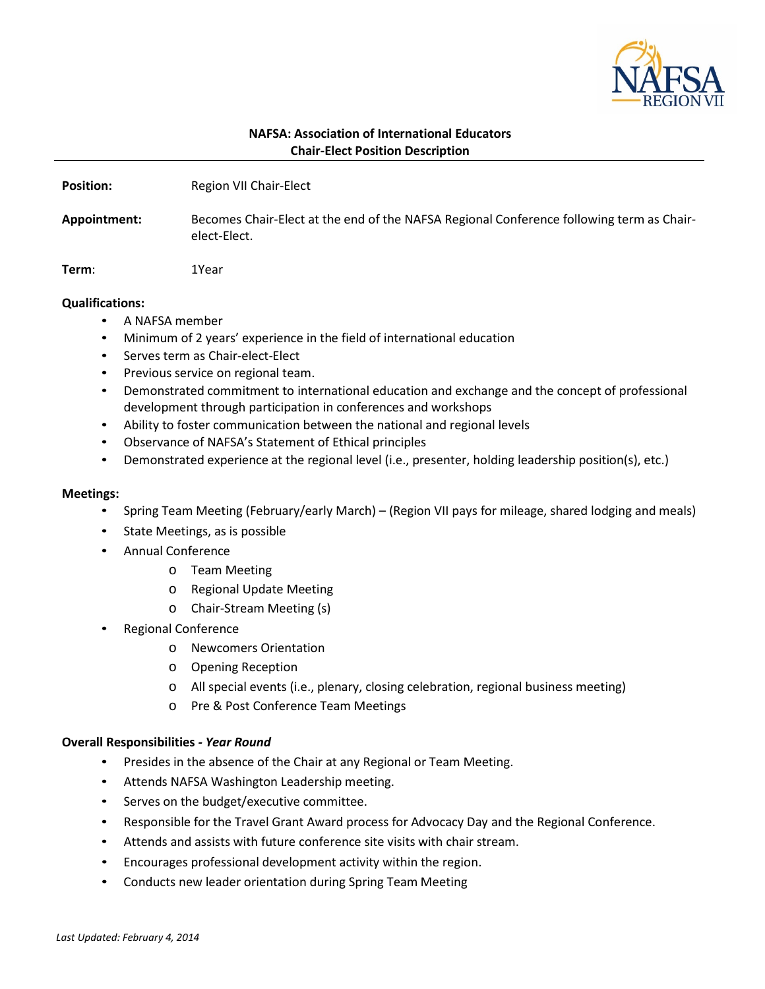

# **NAFSA: Association of International Educators Chair-Elect Position Description**

| <b>Position:</b> | Region VII Chair-Elect |
|------------------|------------------------|
|                  |                        |

**Appointment:** Becomes Chair-Elect at the end of the NAFSA Regional Conference following term as Chairelect-Elect.

**Term**: 1Year

## **Qualifications:**

- A NAFSA member
- Minimum of 2 years' experience in the field of international education
- Serves term as Chair-elect-Elect
- Previous service on regional team.
- Demonstrated commitment to international education and exchange and the concept of professional development through participation in conferences and workshops
- Ability to foster communication between the national and regional levels
- Observance of NAFSA's Statement of Ethical principles
- Demonstrated experience at the regional level (i.e., presenter, holding leadership position(s), etc.)

#### **Meetings:**

- Spring Team Meeting (February/early March) (Region VII pays for mileage, shared lodging and meals)
- State Meetings, as is possible
- Annual Conference
	- o Team Meeting
	- o Regional Update Meeting
	- o Chair-Stream Meeting (s)
- Regional Conference
	- o Newcomers Orientation
	- o Opening Reception
	- o All special events (i.e., plenary, closing celebration, regional business meeting)
	- o Pre & Post Conference Team Meetings

#### **Overall Responsibilities** *- Year Round*

- Presides in the absence of the Chair at any Regional or Team Meeting.
- Attends NAFSA Washington Leadership meeting.
- Serves on the budget/executive committee.
- Responsible for the Travel Grant Award process for Advocacy Day and the Regional Conference.
- Attends and assists with future conference site visits with chair stream.
- Encourages professional development activity within the region.
- Conducts new leader orientation during Spring Team Meeting